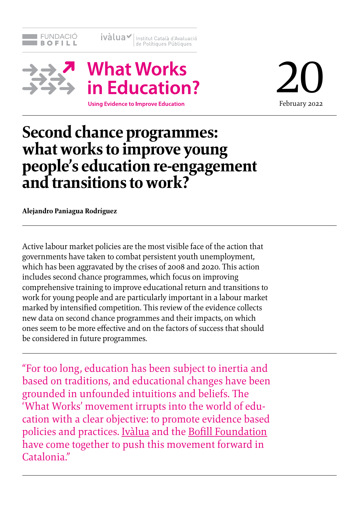

ivàlua v Institut Català d'Avaluació



**Using Evidence to Improve Education** 

20 February 2022

# **Second chance programmes: what works to improve young people's education re-engagement and transitions to work?**

**Alejandro Paniagua Rodríguez**

Active labour market policies are the most visible face of the action that governments have taken to combat persistent youth unemployment, which has been aggravated by the crises of 2008 and 2020. This action includes second chance programmes, which focus on improving comprehensive training to improve educational return and transitions to work for young people and are particularly important in a labour market marked by intensified competition. This review of the evidence collects new data on second chance programmes and their impacts, on which ones seem to be more effective and on the factors of success that should be considered in future programmes.

"For too long, education has been subject to inertia and based on traditions, and educational changes have been grounded in unfounded intuitions and beliefs. The 'What Works' movement irrupts into the world of education with a clear objective: to promote evidence based policies and practices. [Ivàlua](https://www.ivalua.cat/main.aspx) and the [Bofill Foundation](https://fundaciobofill.cat) have come together to push this movement forward in Catalonia."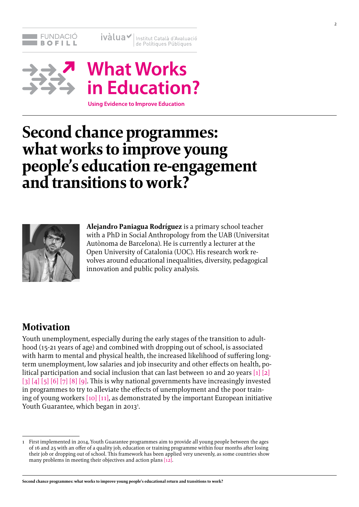



**Using Evidence to Improve Education** 

# **Second chance programmes: what works to improve young people's education re-engagement and transitions to work?**



**Alejandro Paniagua Rodríguez** is a primary school teacher with a PhD in Social Anthropology from the UAB (Universitat Autònoma de Barcelona). He is currently a lecturer at the Open University of Catalonia (UOC). His research work revolves around educational inequalities, diversity, pedagogical innovation and public policy analysis.

# **Motivation**

Youth unemployment, especially during the early stages of the transition to adulthood (15-21 years of age) and combined with dropping out of school, is associated with harm to mental and physical health, the increased likelihood of suffering longterm unemployment, low salaries and job insecurity and other effects on health, political participation and social inclusion that can last between 10 and 20 years  $[1] [2]$  $[1] [2]$ [\[3\]](#page-27-0) [\[4\]](#page-27-0) [\[5\]](#page-27-0) [\[6\]](#page-27-0) [\[7\]](#page-27-0) [\[8\]](#page-27-0) [\[9\]](#page-27-0). This is why national governments have increasingly invested in programmes to try to alleviate the effects of unemployment and the poor training of young workers  $[10][11]$  $[10][11]$ , as demonstrated by the important European initiative Youth Guarantee, which began in 2013<sup>1</sup>.

<sup>1</sup> First implemented in 2014, Youth Guarantee programmes aim to provide all young people between the ages of 16 and 25 with an offer of a quality job, education or training programme within four months after losing their job or dropping out of school. This framework has been applied very unevenly, as some countries show many problems in meeting their objectives and action plans [\[12\].](#page-27-0)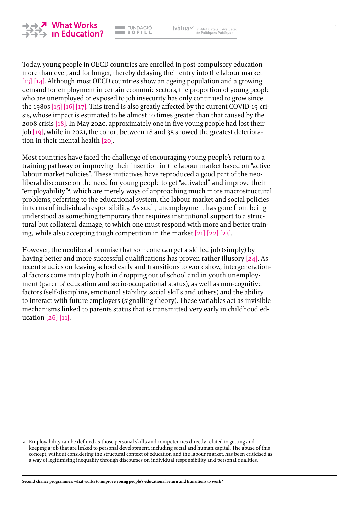

Today, young people in OECD countries are enrolled in post-compulsory education more than ever, and for longer, thereby delaying their entry into the labour mar[ket](#page-27-0)  [\[13\]](#page-27-0) [\[14\]](#page-27-0). Although most OECD countries show an ageing population and a growing demand for employment in certain economic sectors, the proportion of young people who are unemployed or exposed to job insecurity has only continued to grow since the 1980s [\[15\] \[16\]](#page-27-0) [\[17\]](#page-27-0). This trend is also greatly affected by the current COVID-19 crisis, whose impact is estimated to be almost 10 times greater than that caused by the 2008 crisis [\[18\].](#page-27-0) In May 2020, approximately one in five young people had lost their job [\[19\]](#page-27-0), while in 2021, the cohort between 18 and 35 showed the greatest deterioration in their mental health [\[20\]](#page-27-0).

**EMPACIÓ**  $B$  of LL ivàlua / Institut Català d'Avaluació

Most countries have faced the challenge of encouraging young people's return to a training pathway or improving their insertion in the labour market based on "active labour market policies". These initiatives have reproduced a good part of the neoliberal discourse on the need for young people to get "activated" and improve their "employability"2 , which are merely ways of approaching much more macrostructural problems, referring to the educational system, the labour market and social policies in terms of individual responsibility. As such, unemployment has gone from being understood as something temporary that requires institutional support to a structural but collateral damage, to which one must respond with more and better training, while also accepting tough competition in the market [\[21\] \[22\]](#page-27-0) [\[23\]](#page-27-0).

However, the neoliberal promise that someone can get a skilled job (simply) by having better and more successful qualifications has proven rather illusory [\[24\]](#page-27-0). As recent studies on leaving school early and transitions to work show, intergenerational factors come into play both in dropping out of school and in youth unemployment (parents' education and socio-occupational status), as well as non-cognitive factors (self-discipline, emotional stability, social skills and others) and the ability to interact with future employers (signalling theory). These variables act as invisible mechanisms linked to parents status that is transmitted very early in childhood education [\[26\] \[11\]](#page-27-0).

<sup>2</sup> Employability can be defined as those personal skills and competencies directly related to getting and keeping a job that are linked to personal development, including social and human capital. The abuse of this concept, without considering the structural context of education and the labour market, has been criticised as a way of legitimising inequality through discourses on individual responsibility and personal qualities.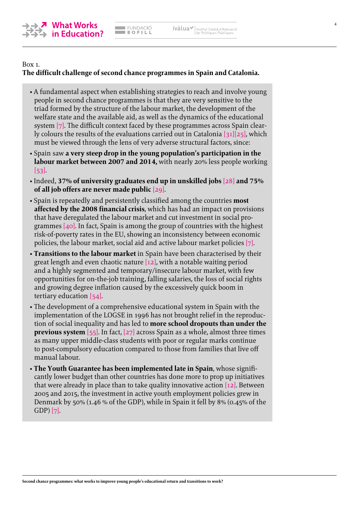

### Box 1. **The difficult challenge of second chance programmes in Spain and Catalonia.**

- A fundamental aspect when establishing strategies to reach and involve young people in second chance programmes is that they are very sensitive to the triad formed by the structure of the labour market, the development of the welfare state and the available aid, as well as the dynamics of the educational system [\[7\]](#page-27-0). The difficult context faced by these programmes across Spain clearly colours the results of the evaluations carried out in Catalonia [\[31\]](#page-28-0)[\[25\],](#page-27-0) which must be viewed through the lens of very adverse structural factors, since:
- Spain saw **a very steep drop in the young population's participation in the labour market between 2007 and 2014,** with nearly 20% less people working  $|53|$ .
- Indeed, **37% of university graduates end up in unskilled jobs** [\[28\]](#page-28-0) **and 75% of all job offers are never made public** [\[29\].](#page-28-0)
- Spain is repeatedly and persistently classified among the countries **most affected by the 2008 financial crisis**, which has had an impact on provisions that have deregulated the labour market and cut investment in social programmes [\[40\].](#page-28-0) In fact, Spain is among the group of countries with the highest risk-of-poverty rates in the EU, showing an inconsistency between economic policies, the labour market, social aid and active labour market policies [\[7\]](#page-27-0).
- **Transitions to the labour market** in Spain have been characterised by their great length and even chaotic nature  $[12]$ , with a notable waiting period and a highly segmented and temporary/insecure labour market, with few opportunities for on-the-job training, falling salaries, the loss of social rights and growing degree inflation caused by the excessively quick boom in tertiary education [\[54\]](#page-29-0).
- The development of a comprehensive educational system in Spain with the implementation of the LOGSE in 1996 has not brought relief in the reproduction of social inequality and has led to **more school dropouts than under the previous system** [\[55\].](#page-29-0) In fact, [\[27\]](#page-28-0) across Spain as a whole, almost three times as many upper middle-class students with poor or regular marks continue to post-compulsory education compared to those from families that live off manual labour.
- **The Youth Guarantee has been implemented late in Spain**, whose significantly lower budget than other countries has done more to prop up initiatives that were already in place than to take quality innovative action  $[12]$ . Between 2005 and 2015, the investment in active youth employment policies grew in Denmark by 50% (1.46 % of the GDP), while in Spain it fell by 8% (0.45% of the GDP) [\[7\]](#page-27-0).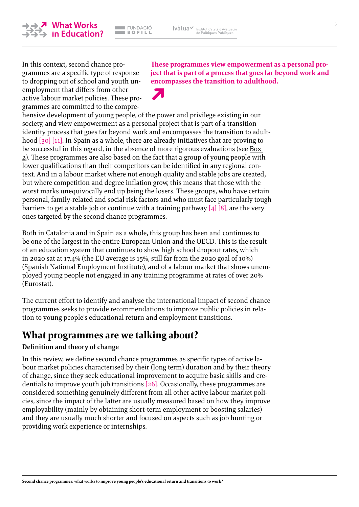5



In this context, second chance programmes are a specific type of response to dropping out of school and youth unemployment that differs from other active labour market policies. These programmes are committed to the compre**These programmes view empowerment as a personal project that is part of a process that goes far beyond work and encompasses the transition to adulthood.**



hensive development of young people, of the power and privilege existing in our society, and view empowerment as a personal project that is part of a transition identity process that goes far beyond work and encompasses the transition to adulthoo[d \[30\]](#page-28-0) [\[11\]](#page-27-0). In Spain as a whole, there are already initiatives that are proving to be successful in this regard, in the absence of more rigorous evaluations (see [Box](#page-19-0)  [2\)](#page-19-0). These programmes are also based on the fact that a group of young people with lower qualifications than their competitors can be identified in any regional context. And in a labour market where not enough quality and stable jobs are created, but where competition and degree inflation grow, this means that those with the worst marks unequivocally end up being the losers. These groups, who have certain personal, family-related and social risk factors and who must face particularly tough barriers to get a stable job or continue with a training pathway  $[4]$   $[8]$ , are the very ones targeted by the second chance programmes.

Both in Catalonia and in Spain as a whole, this group has been and continues to be one of the largest in the entire European Union and the OECD. This is the result of an education system that continues to show high school dropout rates, which in 2020 sat at 17.4% (the EU average is 15%, still far from the 2020 goal of 10%) (Spanish National Employment Institute), and of a labour market that shows unemployed young people not engaged in any training programme at rates of over 20% (Eurostat).

The current effort to identify and analyse the international impact of second chance programmes seeks to provide recommendations to improve public policies in relation to young people's educational return and employment transitions.

# **What programmes are we talking about?**

### **Definition and theory of change**

In this review, we define second chance programmes as specific types of active labour market policies characterised by their (long term) duration and by their theory of change, since they seek educational improvement to acquire basic skills and credentials to improve youth job transitions [\[26\].](#page-28-0) Occasionally, these programmes are considered something genuinely different from all other active labour market policies, since the impact of the latter are usually measured based on how they improve employability (mainly by obtaining short-term employment or boosting salaries) and they are usually much shorter and focused on aspects such as job hunting or providing work experience or internships.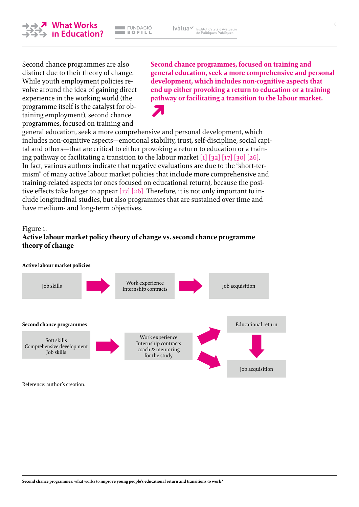

**Second chance programmes, focused on training and general education, seek a more comprehensive and personal development, which includes non-cognitive aspects that end up either provoking a return to education or a training pathway or facilitating a transition to the labour market.**

general education, seek a more comprehensive and personal development, which includes non-cognitive aspects—emotional stability, trust, self-discipline, social capital and others—that are critical to either provoking a return to education or a training pathway or facilitating a transition to the labour market [\[1\]](#page-27-0) [\[32\]](#page-28-0) [\[17\]](#page-27-0) [\[30\]](#page-28-0) [\[26\]](#page-28-0). In fact, various authors indicate that negative evaluations are due to the "short-termism" of many active labour market policies that include more comprehensive and training-related aspects (or ones focused on educational return), because the posi-tive effects take longer to appear [\[17\]](#page-27-0) [\[26\].](#page-28-0) Therefore, it is not only important to include longitudinal studies, but also programmes that are sustained over time and have medium- and long-term objectives.

#### Figure 1.

### **Active labour market policy theory of change vs. second chance programme theory of change**



Reference: author's creation.

<span id="page-5-0"></span>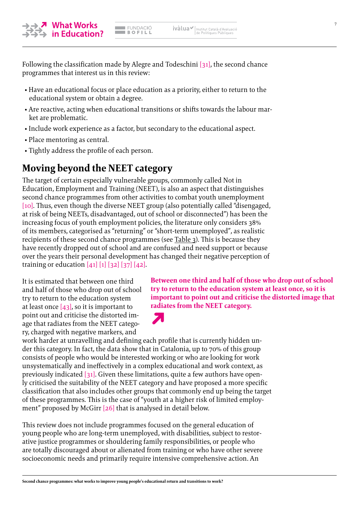<mark>↗</mark> What Works<br>→ in Education?

Following the classification made by Alegre and Todeschini [\[31\]](#page-28-0), the second chance programmes that interest us in this review:

- Have an educational focus or place education as a priority, either to return to the educational system or obtain a degree.
- Are reactive, acting when educational transitions or shifts towards the labour market are problematic.
- Include work experience as a factor, but secondary to the educational aspect.
- Place mentoring as central.
- Tightly address the profile of each person.

# **Moving beyond the NEET category**

The target of certain especially vulnerable groups, commonly called Not in Education, Employment and Training (NEET), is also an aspect that distinguishes second chance programmes from other activities to combat youth unemployment [\[10\].](#page-27-0) Thus, even though the diverse NEET group (also potentially called "disengaged, at risk of being NEETs, disadvantaged, out of school or disconnected") has been the increasing focus of youth employment policies, the literature only considers 38% of its members, categorised as "returning" or "short-term unemployed", as realistic recipients of these second chance programmes (see [Table 3\)](#page-16-0). This is because they have recently dropped out of school and are confused and need support or because over the years their personal development has changed their negative perception of training or education  $[41] [1] [32] [37] [42]$  $[41] [1] [32] [37] [42]$  $[41] [1] [32] [37] [42]$  $[41] [1] [32] [37] [42]$  $[41] [1] [32] [37] [42]$  $[41] [1] [32] [37] [42]$  $[41] [1] [32] [37] [42]$ .

It is estimated that between one third and half of those who drop out of school try to return to the education system at least once  $[43]$ , so it is important to point out and criticise the distorted image that radiates from the NEET category, charged with negative markers, and

**Between one third and half of those who drop out of school try to return to the education system at least once, so it is important to point out and criticise the distorted image that radiates from the NEET category.**

work harder at unravelling and defining each profile that is currently hidden under this category. In fact, the data show that in Catalonia, up to 70% of this group consists of people who would be interested working or who are looking for work unsystematically and ineffectively in a complex educational and work context, as previously indicated  $\lceil 31 \rceil$ . Given these limitations, quite a few authors have openly criticised the suitability of the NEET category and have proposed a more specific classification that also includes other groups that commonly end up being the target of these programmes. This is the case of "youth at a higher risk of limited employment" proposed by McGirr [\[26\]](#page-28-0) that is analysed in detail below.

This review does not include programmes focused on the general education of young people who are long-term unemployed, with disabilities, subject to restorative justice programmes or shouldering family responsibilities, or people who are totally discouraged about or alienated from training or who have other severe socioeconomic needs and primarily require intensive comprehensive action. An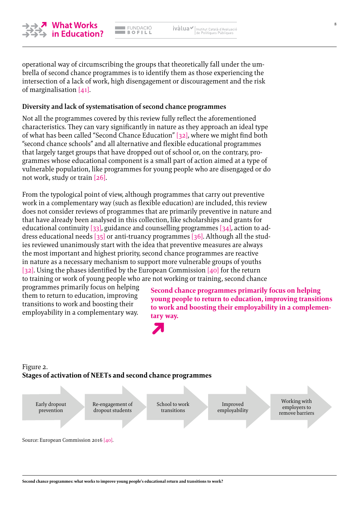

**EMPACIÓ**  $\overline{\phantom{a}}$  BOFILL

operational way of circumscribing the groups that theoretically fall under the umbrella of second chance programmes is to identify them as those experiencing the intersection of a lack of work, high disengagement or discouragement and the risk of marginalisation [\[41\]](#page-28-0).

### **Diversity and lack of systematisation of second chance programmes**

Not all the programmes covered by this review fully reflect the aforementioned characteristics. They can vary significantly in nature as they approach an ideal type of what has been called "Second Chance Education" [\[32\],](#page-28-0) where we might find both "second chance schools" and all alternative and flexible educational programmes that largely target groups that have dropped out of school or, on the contrary, programmes whose educational component is a small part of action aimed at a type of vulnerable population, like programmes for young people who are disengaged or do not work, study or train [\[26\]](#page-28-0).

From the typological point of view, although programmes that carry out preventive work in a complementary way (such as flexible education) are included, this review does not consider reviews of programmes that are primarily preventive in nature and that have already been analysed in this collection, like scholarships and grants for educational continuity [\[33\]](#page-28-0), guidance and counselling programmes [\[34\]](#page-28-0), action to address educational needs [\[35\]](#page-28-0) or anti-truancy programmes [\[36\].](#page-28-0) Although all the studies reviewed unanimously start with the idea that preventive measures are always the most important and highest priority, second chance programmes are reactive in nature as a necessary mechanism to support more vulnerable groups of youths [\[32\].](#page-28-0) Using the phases identified by the European Commission [\[40\]](#page-28-0) for the return to training or work of young people who are not working or training, second chance

programmes primarily focus on helping them to return to education, improving transitions to work and boosting their employability in a complementary way.

**Second chance programmes primarily focus on helping young people to return to education, improving transitions to work and boosting their employability in a complementary way.**



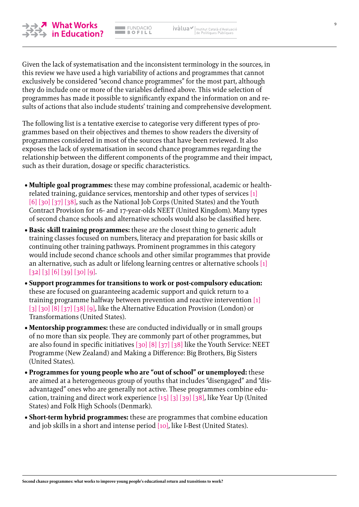

<mark>↗ What Works</mark><br>→ in Education?

Given the lack of systematisation and the inconsistent terminology in the sources, in this review we have used a high variability of actions and programmes that cannot exclusively be considered "second chance programmes" for the most part, although they do include one or more of the variables defined above. This wide selection of programmes has made it possible to significantly expand the information on and results of actions that also include students' training and comprehensive development.

The following list is a tentative exercise to categorise very different types of programmes based on their objectives and themes to show readers the diversity of programmes considered in most of the sources that have been reviewed. It also exposes the lack of systematisation in second chance programmes regarding the relationship between the different components of the programme and their impact, such as their duration, dosage or specific characteristics.

- **Multiple goal programmes:** these may combine professional, academic or healthrelated training, guidance services, mentorship and other types of services [\[1\]](#page-27-0) [\[6\]](#page-27-0) [\[30\] \[37\] \[38\]](#page-28-0), such as the National Job Corps (United States) and the Youth Contract Provision for 16- and 17-year-olds NEET (United Kingdom). Many types of second chance schools and alternative schools would also be classified here.
- **Basic skill training programmes:** these are the closest thing to generic adult training classes focused on numbers, literacy and preparation for basic skills or continuing other training pathways. Prominent programmes in this category would include second chance schools and other similar programmes that provide an alternative, such as adult or lifelong learning centres or alternative schools [\[1\]](#page-27-0) [\[32\]](#page-28-0) [\[3\]](#page-27-0) [\[6\]](#page-27-0) [\[39\]](#page-28-0) [\[30\]](#page-28-0) [\[9\]](#page-27-0).
- **Support programmes for transitions to work or post-compulsory education:** these are focused on guaranteeing academic support and quick return to a training programme halfway between prevention and reactive intervention [\[1\]](#page-27-0) [\[3\]](#page-27-0) [\[30\]](#page-28-0) [\[8\]](#page-27-0) [\[37\]](#page-28-0) [\[38\]](#page-28-0) [\[9\],](#page-27-0) like the Alternative Education Provision (London) or Transformations (United States).
- **Mentorship programmes:** these are conducted individually or in small groups of no more than six people. They are commonly part of other programmes, but are also found in specific initiatives [\[30\]](#page-28-0) [\[8\]](#page-27-0) [\[37\]](#page-28-0) [\[38\]](#page-28-0) like the Youth Service: NEET Programme (New Zealand) and Making a Difference: Big Brothers, Big Sisters (United States).
- **Programmes for young people who are "out of school" or unemployed:** these are aimed at a heterogeneous group of youths that includes "disengaged" and "disadvantaged" ones who are generally not active. These programmes combine education, training and direct work experience [\[15\] \[3\]](#page-27-0) [\[39\]](#page-28-0) [\[38\]](#page-28-0), like Year Up (United States) and Folk High Schools (Denmark).
- **Short-term hybrid programmes:** these are programmes that combine education and job skills in a short and intense period [\[10\]](#page-27-0), like I-Best (United States).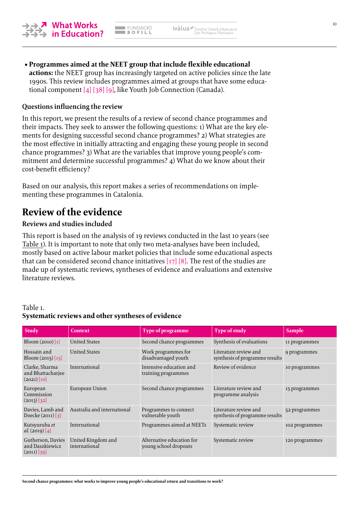**• Programmes aimed at the NEET group that include flexible educational actions:** the NEET group has increasingly targeted on active policies since the late 1990s. This review includes programmes aimed at groups that have some educational component [\[4\]](#page-27-0) [\[38\]](#page-28-0) [\[9\]](#page-27-0), like Youth Job Connection (Canada).

#### **Questions influencing the review**

In this report, we present the results of a review of second chance programmes and their impacts. They seek to answer the following questions: 1) What are the key elements for designing successful second chance programmes? 2) What strategies are the most effective in initially attracting and engaging these young people in second chance programmes? 3) What are the variables that improve young people's commitment and determine successful programmes? 4) What do we know about their cost-benefit efficiency?

Based on our analysis, this report makes a series of recommendations on implementing these programmes in Catalonia.

## **Review of the evidence**

#### **Reviews and studies included**

This report is based on the analysis of 19 reviews conducted in the last 10 years (see Table 1). It is important to note that only two meta-analyses have been included, mostly based on active labour market policies that include some educational aspects that can be considered second chance initiatives  $[17] [8]$  $[17] [8]$ . The rest of the studies are made up of systematic reviews, syntheses of evidence and evaluations and extensive literature reviews.

#### Table 1. **Systematic reviews and other syntheses of evidence**

| <b>Study</b>                                          | <b>Context</b>                      | Type of programme                                  | <b>Type of study</b>                                    | <b>Sample</b>  |
|-------------------------------------------------------|-------------------------------------|----------------------------------------------------|---------------------------------------------------------|----------------|
| Bloom $(2010)$ [1]                                    | <b>United States</b>                | Second chance programmes                           | Synthesis of evaluations                                | 11 programmes  |
| Hossain and<br>Bloom $(2015)$ [15]                    | <b>United States</b>                | Work programmes for<br>disadvantaged youth         | Literature review and<br>synthesis of programme results | 9 programmes   |
| Clarke, Sharma<br>and Bhattacharjee<br>$(2021)$ [10]  | International                       | Intensive education and<br>training programmes     | Review of evidence                                      | 10 programmes  |
| European<br>Commission<br>$(2013)$ [32]               | European Union                      | Second chance programmes                           | Literature review and<br>programme analysis             | 15 programmes  |
| Davies, Lamb and<br>Doecke $(2011)$ [3]               | Australia and international         | Programmes to connect<br>vulnerable youth          | Literature review and<br>synthesis of programme results | 52 programmes  |
| Kutsyuruba et<br>al. (2019) [4]                       | International                       | Programmes aimed at NEETs                          | Systematic review                                       | 102 programmes |
| Gutherson, Davies<br>and Daszkiewicz<br>$(2011)$ [39] | United Kingdom and<br>international | Alternative education for<br>young school dropouts | Systematic review                                       | 120 programmes |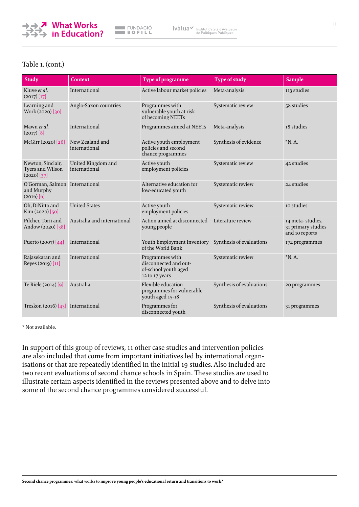

#### Table 1. (cont.)

| <b>Study</b>                                                 | <b>Context</b>                      | Type of programme                                                                  | <b>Type of study</b>     | <b>Sample</b>                                            |
|--------------------------------------------------------------|-------------------------------------|------------------------------------------------------------------------------------|--------------------------|----------------------------------------------------------|
| Kluve et al.<br>$(2017)$ [17]                                | International                       | Active labour market policies                                                      | Meta-analysis            | 113 studies                                              |
| Learning and<br>Work (2020) [30]                             | Anglo-Saxon countries               | Programmes with<br>vulnerable youth at risk<br>of becoming NEETs                   | Systematic review        | 58 studies                                               |
| Mawn et al.<br>$(2017)$ [8]                                  | International                       | Programmes aimed at NEETs                                                          | Meta-analysis            | 18 studies                                               |
| McGirr (2020) [26]                                           | New Zealand and<br>international    | Active youth employment<br>policies and second<br>chance programmes                | Synthesis of evidence    | $*N.A.$                                                  |
| Newton, Sinclair,<br>Tyers and Wilson<br>$(2020)$ [37]       | United Kingdom and<br>international | Active youth<br>employment policies                                                | Systematic review        | 42 studies                                               |
| O'Gorman, Salmon International<br>and Murphy<br>$(2016)$ [6] |                                     | Alternative education for<br>low-educated youth                                    | Systematic review        | 24 studies                                               |
| Oh, DiNitto and<br>Kim (2020) [50]                           | <b>United States</b>                | Active youth<br>employment policies                                                | Systematic review        | 10 studies                                               |
| Pilcher, Torii and<br>Andow (2020) [38]                      | Australia and international         | Action aimed at disconnected<br>young people                                       | Literature review        | 14 meta-studies,<br>31 primary studies<br>and 10 reports |
| Puerto (2007) [44]                                           | International                       | Youth Employment Inventory<br>of the World Bank                                    | Synthesis of evaluations | 172 programmes                                           |
| Rajasekaran and<br>Reyes (2019) [11]                         | International                       | Programmes with<br>disconnected and out-<br>of-school youth aged<br>12 to 17 years | Systematic review        | $*N.A.$                                                  |
| Te Riele (2014) [9]                                          | Australia                           | Flexible education<br>programmes for vulnerable<br>youth aged 15-18                | Synthesis of evaluations | 20 programmes                                            |
| Treskon $(2016)$ [43] International                          |                                     | Programmes for<br>disconnected youth                                               | Synthesis of evaluations | 31 programmes                                            |

\* Not available.

In support of this group of reviews, 11 other case studies and intervention policies are also included that come from important initiatives led by international organisations or that are repeatedly identified in the initial 19 studies. Also included are two recent evaluations of second chance schools in Spain. These studies are used to illustrate certain aspects identified in the reviews presented above and to delve into some of the second chance programmes considered successful.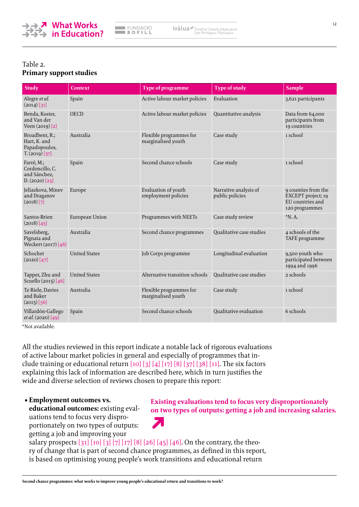

#### Table 2. **Primary support studies**

| <b>Study</b>                                                          | Context              | Type of programme                             | <b>Type of study</b>                     | <b>Sample</b>                                                                   |
|-----------------------------------------------------------------------|----------------------|-----------------------------------------------|------------------------------------------|---------------------------------------------------------------------------------|
| Alegre et al.<br>$(2014)$ [31]                                        | Spain                | Active labour market policies                 | Evaluation                               | 3,621 participants                                                              |
| Benda, Koster,<br>and Van der<br>Veen (2019) [2]                      | <b>OECD</b>          | Active labour market policies                 | Quantitative analysis                    | Data from 64,000<br>participants from<br>19 countries                           |
| Broadbent, R.;<br>Hart, K. and<br>Papadopoulos,<br>$T_{1}(2019)$ [57] | Australia            | Flexible programmes for<br>marginalised youth | Case study                               | 1 school                                                                        |
| Farré, M.;<br>Cordoncillo, C.<br>and Sánchez,<br>D. (2020) [25]       | Spain                | Second chance schools                         | Case study                               | 1 school                                                                        |
| Jeliazkova, Minev<br>and Draganov<br>$(2018)$ [7]                     | Europe               | Evaluation of youth<br>employment policies    | Narrative analysis of<br>public policies | 9 counties from the<br>EXCEPT project; 19<br>EU countries and<br>120 programmes |
| Santos-Brien<br>(2018) [45]                                           | European Union       | Programmes with NEETs                         | Case study review                        | $*N.A.$                                                                         |
| Savelsberg,<br>Pignata and<br>Weckert (2017) [48]                     | Australia            | Second chance programmes                      | Qualitative case studies                 | 4 schools of the<br>TAFE programme                                              |
| Schochet<br>(2020) [47]                                               | <b>United States</b> | Job Corps programme                           | Longitudinal evaluation                  | 9,500 youth who<br>participated between<br>1994 and 1996                        |
| Tapper, Zhu and<br>Scuello (2015) [46]                                | <b>United States</b> | Alternative transition schools                | Qualitative case studies                 | 2 schools                                                                       |
| Te Riele, Davies<br>and Baker<br>$(2015)$ [56]                        | Australia            | Flexible programmes for<br>marginalised youth | Case study                               | 1 school                                                                        |
| Villardón-Gallego<br>et al. (2020) [49]                               | Spain                | Second chance schools                         | Oualitative evaluation                   | 6 schools                                                                       |

\*Not available.

All the studies reviewed in this report indicate a notable lack of rigorous evaluations of active labour market policies in general and especially of programmes that include training or educational return  $[10] [3] [4] [17] [8] [37] [38] [11]$  $[10] [3] [4] [17] [8] [37] [38] [11]$  $[10] [3] [4] [17] [8] [37] [38] [11]$  $[10] [3] [4] [17] [8] [37] [38] [11]$  $[10] [3] [4] [17] [8] [37] [38] [11]$  $[10] [3] [4] [17] [8] [37] [38] [11]$  $[10] [3] [4] [17] [8] [37] [38] [11]$  $[10] [3] [4] [17] [8] [37] [38] [11]$  $[10] [3] [4] [17] [8] [37] [38] [11]$  $[10] [3] [4] [17] [8] [37] [38] [11]$  $[10] [3] [4] [17] [8] [37] [38] [11]$  $[10] [3] [4] [17] [8] [37] [38] [11]$ . The six factors explaining this lack of information are described here, which in turn justifies the wide and diverse selection of reviews chosen to prepare this report:

#### **• Employment outcomes vs.**

**educational outcomes:** existing evaluations tend to focus very disproportionately on two types of outputs: getting a job and improving your

**Existing evaluations tend to focus very disproportionately on two types of outputs: getting a job and increasing salaries.Z** 

salary prospects [\[31\]](#page-28-0) [\[10\]](#page-27-0) [\[3\]](#page-27-0) [\[7\]](#page-27-0) [\[17\]](#page-27-0) [\[8\]](#page-27-0) [\[26\]](#page-28-0) [\[45\]](#page-28-0) [\[46\]](#page-28-0). On the contrary, the theory of change that is part of second chance programmes, as defined in this report, is based on optimising young people's work transitions and educational return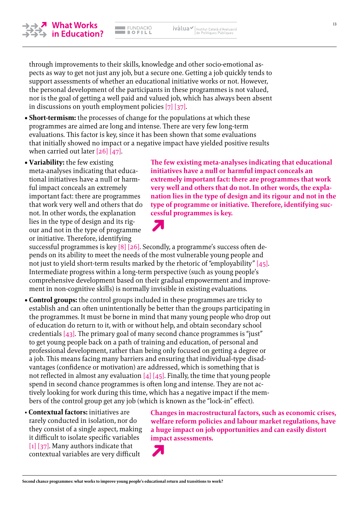

nor is the goal of getting a well paid and valued job, which has always been absent in discussions on youth employment policies [\[7\]](#page-27-0) [\[37\]](#page-28-0). **• Short-termism:** the processes of change for the populations at which these programmes are aimed are long and intense. There are very few long-term evaluations. This factor is key, since it has been shown that some evaluations that initially showed no impact or a negative impact have yielded positive results

through improvements to their skills, knowledge and other socio-emotional aspects as way to get not just any job, but a secure one. Getting a job quickly tends to support assessments of whether an educational initiative works or not. However, the personal development of the participants in these programmes is not valued,

when carried out later [\[26\]](#page-28-0) [\[47\].](#page-28-0)

**• Variability:** the few existing meta-analyses indicating that educational initiatives have a null or harmful impact conceals an extremely important fact: there are programmes that work very well and others that do not. In other words, the explanation lies in the type of design and its rigour and not in the type of programme or initiative. Therefore, identifying

**nation lies in the type of design and its rigour and not in the type of programme or initiative. Therefore, identifying successful programmes is key.**

ivàlua / Institut Català d'Avaluació

**The few existing meta-analyses indicating that educational** 

**extremely important fact: there are programmes that work very well and others that do not. In other words, the expla-**

**initiatives have a null or harmful impact conceals an**

successful programmes is key [\[8\]](#page-27-0) [\[26\]](#page-28-0). Secondly, a programme's success often depends on its ability to meet the needs of the most vulnerable young people and not just to yield short-term results marked by the rhetoric of "employability" [\[45\]](#page-28-0). Intermediate progress within a long-term perspective (such as young people's comprehensive development based on their gradual empowerment and improvement in non-cognitive skills) is normally invisible in existing evaluations.

**• Control groups:** the control groups included in these programmes are tricky to establish and can often unintentionally be better than the groups participating in the programmes. It must be borne in mind that many young people who drop out of education do return to it, with or without help, and obtain secondary school credentials [\[43\].](#page-28-0) The primary goal of many second chance programmes is "just" to get young people back on a path of training and education, of personal and professional development, rather than being only focused on getting a degree or a job. This means facing many barriers and ensuring that individual-type disadvantages (confidence or motivation) are addressed, which is something that is not reflected in almost any evaluation  $[4]$   $[45]$ . Finally, the time that young people spend in second chance programmes is often long and intense. They are not actively looking for work during this time, which has a negative impact if the members of the control group get any job (which is known as the "lock-in" effect).

• **Contextual factors:** initiatives are rarely conducted in isolation, nor do they consist of a single aspect, making it difficult to isolate specific variables [\[1\]](#page-27-0) [\[37\]](#page-28-0). Many authors indicate that contextual variables are very difficult

**Changes in macrostructural factors, such as economic crises, welfare reform policies and labour market regulations, have a huge impact on job opportunities and can easily distort impact assessments.**

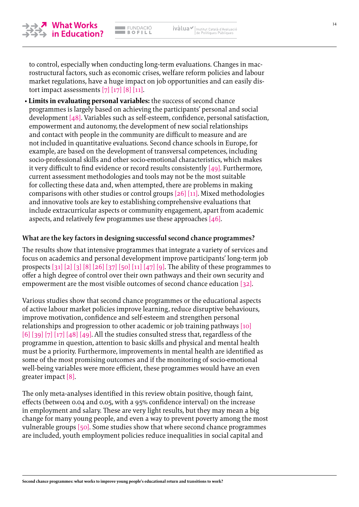



to control, especially when conducting long-term evaluations. Changes in macrostructural factors, such as economic crises, welfare reform policies and labour market regulations, have a huge impact on job opportunities and can easily distort impact assessments  $[7]$   $[17]$   $[8]$   $[11]$ .

• **Limits in evaluating personal variables:** the success of second chance programmes is largely based on achieving the participants' personal and social development [\[48\]](#page-28-0). Variables such as self-esteem, confidence, personal satisfaction, empowerment and autonomy, the development of new social relationships and contact with people in the community are difficult to measure and are not included in quantitative evaluations. Second chance schools in Europe, for example, are based on the development of transversal competences, including socio-professional skills and other socio-emotional characteristics, which makes it very difficult to find evidence or record results consistently  $[49]$ . Furthermore, current assessment methodologies and tools may not be the most suitable for collecting these data and, when attempted, there are problems in making comparisons with other studies or control groups [\[26\]](#page-28-0) [\[11\].](#page-27-0) Mixed methodologies and innovative tools are key to establishing comprehensive evaluations that include extracurricular aspects or community engagement, apart from academic aspects, and relatively few programmes use these approaches [\[46\].](#page-28-0)

#### **What are the key factors in designing successful second chance programmes?**

The results show that intensive programmes that integrate a variety of services and focus on academics and personal development improve participants' long-term job prospects  $\lceil 31 \rceil \lceil 2 \rceil \lceil 3 \rceil \lceil 8 \rceil \lceil 26 \rceil \lceil 37 \rceil \lceil 50 \rceil \lceil 11 \rceil \lceil 47 \rceil \lceil 9 \rceil$ . The ability of these programmes to offer a high degree of control over their own pathways and their own security and empowerment are the most visible outcomes of second chance education [\[32\].](#page-28-0)

Various studies show that second chance programmes or the educational aspects of active labour market policies improve learning, reduce disruptive behaviours, improve motivation, confidence and self-esteem and strengthen personal relationships and progression to other academic or job training pathways [\[10\]](#page-27-0)  $[6]$  [\[39\]](#page-28-0) [\[7\]](#page-27-0) [\[17\]](#page-27-0) [\[48\]](#page-28-0) [\[49\].](#page-28-0) All the studies consulted stress that, regardless of the programme in question, attention to basic skills and physical and mental health must be a priority. Furthermore, improvements in mental health are identified as some of the most promising outcomes and if the monitoring of socio-emotional well-being variables were more efficient, these programmes would have an even greater impact [\[8\].](#page-27-0)

The only meta-analyses identified in this review obtain positive, though faint, effects (between 0.04 and 0.05, with a 95% confidence interval) on the increase in employment and salary. These are very light results, but they may mean a big change for many young people, and even a way to prevent poverty among the most vulnerable groups [\[50\]](#page-28-0). Some studies show that where second chance programmes are included, youth employment policies reduce inequalities in social capital and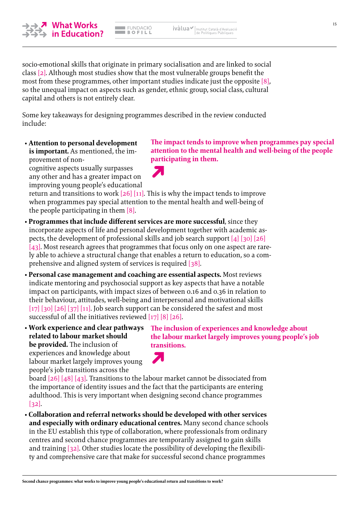**Second chance programmes: what works to improve young people's educational return and transitions to work?**

#### socio-emotional skills that originate in primary socialisation and are linked to social class [\[2\].](#page-27-0) Although most studies show that the most vulnerable groups benefit the most from these programmes, other important studies indicate just the opposite [\[8\],](#page-27-0) so the unequal impact on aspects such as gender, ethnic group, social class, cultural capital and others is not entirely clear.

**EMPACIÓ**  $BOFILL$ 

Some key takeaways for designing programmes described in the review conducted include:

• **Attention to personal development is important.** As mentioned, the improvement of non-

cognitive aspects usually surpasses any other and has a greater impact on improving young people's educational

return and transitions to work  $[26]$  [\[11\].](#page-27-0) This is why the impact tends to improve when programmes pay special attention to the mental health and well-being of the people participating in them [\[8\]](#page-27-0).

- **Programmes that include different services are more successful**, since they incorporate aspects of life and personal development together with academic aspects, the development of professional skills and job search support [\[4\]](#page-27-0) [\[30\]](#page-28-0) [\[26\]](#page-28-0) [\[43\]](#page-28-0). Most research agrees that programmes that focus only on one aspect are rarely able to achieve a structural change that enables a return to education, so a comprehensive and aligned system of services is required [\[38\].](#page-28-0)
- **Personal case management and coaching are essential aspects.** Most reviews indicate mentoring and psychosocial support as key aspects that have a notable impact on participants, with impact sizes of between 0.16 and 0.36 in relation to their behaviour, attitudes, well-being and interpersonal and motivational skills  $\left[17\right]$   $\left[30\right]$   $\left[26\right]$   $\left[37\right]$   $\left[11\right]$ . Job search support can be considered the safest and most successful of all the initiatives reviewed [\[17\]](#page-27-0) [\[8\]](#page-27-0) [\[26\]](#page-28-0).
- **Work experience and clear pathways related to labour market should be provided.** The inclusion of experiences and knowledge about labour market largely improves young people's job transitions across the

**The inclusion of experiences and knowledge about the labour market largely improves young people's job transitions.**

board [\[26\]](#page-28-0) [\[48\]](#page-28-0) [\[43\].](#page-28-0) Transitions to the labour market cannot be dissociated from the importance of identity issues and the fact that the participants are entering adulthood. This is very important when designing second chance programmes [\[32\]](#page-28-0).

 $\blacktriangleright$ 

• **Collaboration and referral networks should be developed with other services and especially with ordinary educational centres.** Many second chance schools in the EU establish this type of collaboration, where professionals from ordinary centres and second chance programmes are temporarily assigned to gain skills and training [\[32\]](#page-28-0). Other studies locate the possibility of developing the flexibility and comprehensive care that make for successful second chance programmes



ivàlua / Institut Català d'Avaluació



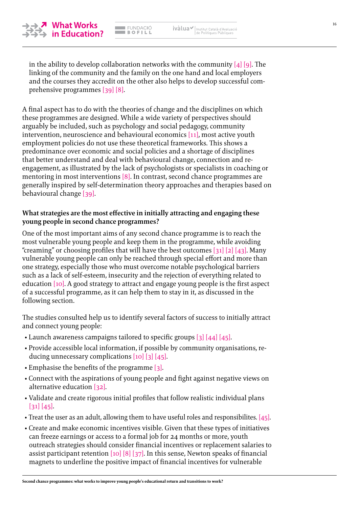

in the ability to develop collaboration networks with the community  $[4]$  [\[9\]](#page-27-0). The linking of the community and the family on the one hand and local employers and the courses they accredit on the other also helps to develop successful comprehensive programmes [\[39\]](#page-28-0) [\[8\]](#page-27-0).

A final aspect has to do with the theories of change and the disciplines on which these programmes are designed. While a wide variety of perspectives should arguably be included, such as psychology and social pedagogy, community intervention, neuroscience and behavioural economics [\[11\]](#page-27-0), most active youth employment policies do not use these theoretical frameworks. This shows a predominance over economic and social policies and a shortage of disciplines that better understand and deal with behavioural change, connection and reengagement, as illustrated by the lack of psychologists or specialists in coaching or mentoring in most interventions [\[8\].](#page-27-0) In contrast, second chance programmes are generally inspired by self-determination theory approaches and therapies based on behavioural change [\[39\]](#page-28-0).

### **What strategies are the most effective in initially attracting and engaging these young people in second chance programmes?**

One of the most important aims of any second chance programme is to reach the most vulnerable young people and keep them in the programme, while avoiding "creaming" or choosing profiles that will have the best outcomes [\[31\]](#page-28-0) [\[2\]](#page-27-0) [\[43\].](#page-28-0) Many vulnerable young people can only be reached through special effort and more than one strategy, especially those who must overcome notable psychological barriers such as a lack of self-esteem, insecurity and the rejection of everything related to education  $[10]$ . A good strategy to attract and engage young people is the first aspect of a successful programme, as it can help them to stay in it, as discussed in the following section.

The studies consulted help us to identify several factors of success to initially attract and connect young people:

- Launch awareness campaigns tailored to specific groups [\[3\]](#page-27-0) [\[44\]](#page-28-0) [\[45\]](#page-28-0).
- Provide accessible local information, if possible by community organisations, reducing unnecessary complications [\[10\]](#page-27-0) [\[3\]](#page-27-0) [\[45\].](#page-28-0)
- Emphasise the benefits of the programme [\[3\].](#page-27-0)
- Connect with the aspirations of young people and fight against negative views on alternative education [\[32\].](#page-28-0)
- Validate and create rigorous initial profiles that follow realistic individual plans [\[31\]](#page-28-0) [\[45\].](#page-28-0)
- Treat the user as an adult, allowing them to have useful roles and responsibilites. [\[45\]](#page-28-0).
- Create and make economic incentives visible. Given that these types of initiatives can freeze earnings or access to a formal job for 24 months or more, youth outreach strategies should consider financial incentives or replacement salaries to assist participant retention [\[10\]](#page-27-0) [\[8\]](#page-27-0) [\[37\]](#page-28-0). In this sense, Newton speaks of financial magnets to underline the positive impact of financial incentives for vulnerable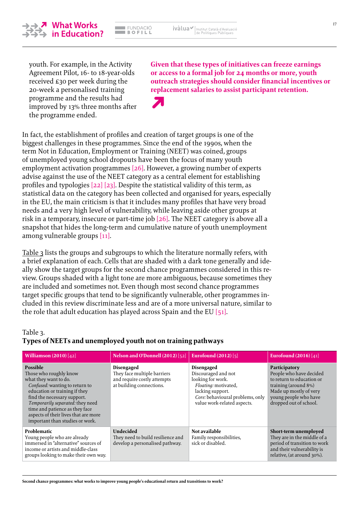# youth. For example, in the Activity Agreement Pilot, 16- to 18-year-olds

received £30 per week during the 20-week a personalised training programme and the results had improved by 13% three months after the programme ended.

**Given that these types of initiatives can freeze earnings or access to a formal job for 24 months or more, youth outreach strategies should consider financial incentives or replacement salaries to assist participant retention.**

In fact, the establishment of profiles and creation of target groups is one of the biggest challenges in these programmes. Since the end of the 1990s, when the term Not in Education, Employment or Training (NEET) was coined, groups of unemployed young school dropouts have been the focus of many youth employment activation programmes [\[26\]](#page-28-0). However, a growing number of experts advise against the use of the NEET category as a central element for establishing profiles and typologies [\[22\] \[23\]](#page-27-0). Despite the statistical validity of this term, as statistical data on the category has been collected and organised for years, especially in the EU, the main criticism is that it includes many profiles that have very broad needs and a very high level of vulnerability, while leaving aside other groups at risk in a temporary, insecure or part-time job [\[26\]](#page-28-0). The NEET category is above all a snapshot that hides the long-term and cumulative nature of youth unemployment among vulnerable groups [\[11\]](#page-27-0).

Table 3 lists the groups and subgroups to which the literature normally refers, with a brief explanation of each. Cells that are shaded with a dark tone generally and ideally show the target groups for the second chance programmes considered in this review. Groups shaded with a light tone are more ambiguous, because sometimes they are included and sometimes not. Even though most second chance programmes target specific groups that tend to be significantly vulnerable, other programmes included in this review discriminate less and are of a more universal nature, similar to the role that adult education has played across Spain and the EU  $[51]$ .

#### Table 3. **Types of NEETs and unemployed youth not on training pathways**

| Williamson $(2010)$ [42]                                                                                                                                                                                                                                                                                              | Nelson and O'Donnell (2012) [52]                                                                            | <b>Eurofound (2012)</b> [5]                                                                                                                                                  | <b>Eurofound (2016)</b> [41]                                                                                                                                               |
|-----------------------------------------------------------------------------------------------------------------------------------------------------------------------------------------------------------------------------------------------------------------------------------------------------------------------|-------------------------------------------------------------------------------------------------------------|------------------------------------------------------------------------------------------------------------------------------------------------------------------------------|----------------------------------------------------------------------------------------------------------------------------------------------------------------------------|
| <b>Possible</b><br>Those who roughly know<br>what they want to do.<br>Confused: wanting to return to<br>education or training if they<br>find the necessary support.<br>Temporarily separated: they need<br>time and patience as they face<br>aspects of their lives that are more<br>important than studies or work. | <b>Disengaged</b><br>They face multiple barriers<br>and require costly attempts<br>at building connections. | <b>Disengaged</b><br>Discouraged and not<br>looking for work.<br>Floating: motivated,<br>lacking support.<br>Core: behavioural problems, only<br>value work-related aspects. | Participatory<br>People who have decided<br>to return to education or<br>training (around 8%)<br>Made up mostly of very<br>young people who have<br>dropped out of school. |
| <b>Problematic</b><br>Young people who are already<br>immersed in "alternative" sources of<br>income or artists and middle-class<br>groups looking to make their own way.                                                                                                                                             | <b>Undecided</b><br>They need to build resilience and<br>develop a personalised pathway.                    | Not available<br>Family responsibilities,<br>sick or disabled.                                                                                                               | Short-term unemployed<br>They are in the middle of a<br>period of transition to work<br>and their vulnerability is<br>relative, (at around 30%).                           |

<span id="page-16-0"></span>

**FUNDACIÓ**  $BOFILL$ 

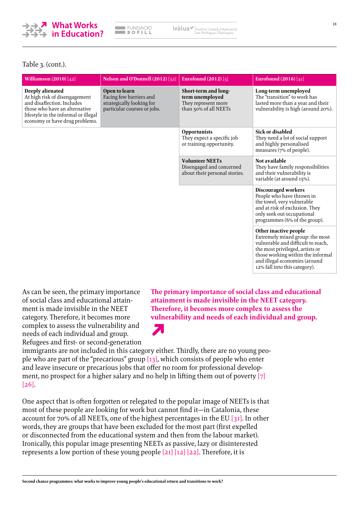

FUNDACIÓ  $B$  of  $L$  ivàlua / Institut Català d'Avaluació

#### Table 3. (cont.).

| <b>Williamson</b> $(2010) [42]$                                                                                                                                                            | Nelson and O'Donnell (2012) [52]                                                                     | Eurofound $(2012)$ [5]                                                                  | <b>Eurofound (2016)</b> [41]                                                                                                                                                                                                             |
|--------------------------------------------------------------------------------------------------------------------------------------------------------------------------------------------|------------------------------------------------------------------------------------------------------|-----------------------------------------------------------------------------------------|------------------------------------------------------------------------------------------------------------------------------------------------------------------------------------------------------------------------------------------|
| Deeply alienated<br>At high risk of disengagement<br>and disaffection. Includes<br>those who have an alternative<br>lifestyle in the informal or illegal<br>economy or have drug problems. | Open to learn<br>Facing few barriers and<br>strategically looking for<br>particular courses or jobs. | Short-term and long-<br>term unemployed<br>They represent more<br>than 50% of all NEETs | Long-term unemployed<br>The "transition" to work has<br>lasted more than a year and their<br>vulnerability is high (around 20%).                                                                                                         |
|                                                                                                                                                                                            |                                                                                                      | <b>Opportunists</b><br>They expect a specific job<br>or training opportunity.           | <b>Sick or disabled</b><br>They need a lot of social support<br>and highly personalised<br>measures (7% of people).                                                                                                                      |
|                                                                                                                                                                                            |                                                                                                      | <b>Volunteer NEETs</b><br>Disengaged and concerned<br>about their personal stories.     | Not available<br>They have family responsibilities<br>and their vulnerability is<br>variable (at around 15%).                                                                                                                            |
|                                                                                                                                                                                            |                                                                                                      |                                                                                         | <b>Discouraged workers</b><br>People who have thrown in<br>the towel, very vulnerable<br>and at risk of exclusion. They<br>only seek out occupational<br>programmes (6% of the group).                                                   |
|                                                                                                                                                                                            |                                                                                                      |                                                                                         | Other inactive people<br>Extremely mixed group: the most<br>vulnerable and difficult to reach,<br>the most privileged, artists or<br>those working within the informal<br>and illegal economies (around<br>12% fall into this category). |

As can be seen, the primary importance of social class and educational attainment is made invisible in the NEET category. Therefore, it becomes more complex to assess the vulnerability and needs of each individual and group. Refugees and first- or second-generation

**The primary importance of social class and educational attainment is made invisible in the NEET category. Therefore, it becomes more complex to assess the vulnerability and needs of each individual and group.**

immigrants are not included in this category either. Thirdly, there are no young people who are part of the "precarious" group  $[13]$ , which consists of people who enter and leave insecure or precarious jobs that offer no room for professional development, no prospect for a higher salary and no help in lifting them out of poverty  $[7]$ [\[26\]](#page-28-0).

 $\blacktriangledown$ 

One aspect that is often forgotten or relegated to the popular image of NEETs is that most of these people are looking for work but cannot find it—in Catalonia, these account for 70% of all NEETs, one of the highest percentages in the EU [\[31\]](#page-28-0). In other words, they are groups that have been excluded for the most part (first expelled or disconnected from the educational system and then from the labour market). Ironically, this popular image presenting NEETs as passive, lazy or disinterested represents a low portion of these young people [\[21\]](#page-27-0) [\[12\]](#page-27-0) [\[22\].](#page-27-0) Therefore, it is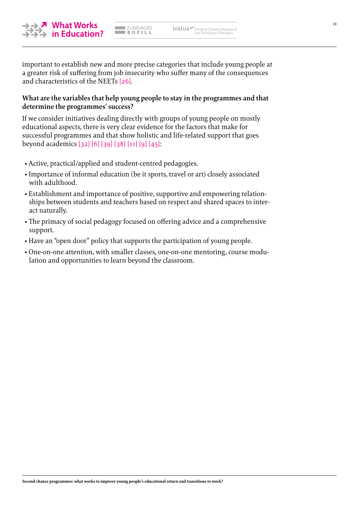

EUNDACIÓ<br>Bofill

important to establish new and more precise categories that include young people at a greater risk of suffering from job insecurity who suffer many of the consequences and characteristics of the NEETs [\[26\]](#page-28-0).

#### **What are the variables that help young people to stay in the programmes and that determine the programmes' success?**

If we consider initiatives dealing directly with groups of young people on mostly educational aspects, there is very clear evidence for the factors that make for successful programmes and that show holistic and life-related support that goes beyond academics [\[32\]](#page-28-0) [\[6\]](#page-27-0) [\[39\]](#page-28-0) [\[38\]](#page-28-0) [\[11\]](#page-27-0) [\[9\]](#page-27-0) [\[45\]](#page-28-0):

- Active, practical/applied and student-centred pedagogies.
- Importance of informal education (be it sports, travel or art) closely associated with adulthood.
- Establishment and importance of positive, supportive and empowering relationships between students and teachers based on respect and shared spaces to interact naturally.
- The primacy of social pedagogy focused on offering advice and a comprehensive support.
- Have an "open door" policy that supports the participation of young people.
- One-on-one attention, with smaller classes, one-on-one mentoring, course modulation and opportunities to learn beyond the classroom.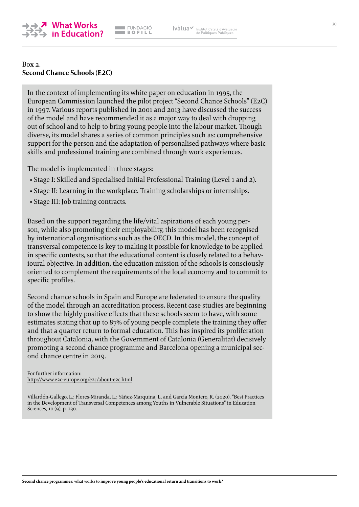<span id="page-19-0"></span>

#### Box 2. **Second Chance Schools (E2C)**

In the context of implementing its white paper on education in 1995, the European Commission launched the pilot project "Second Chance Schools" (E2C) in 1997. Various reports published in 2001 and 2013 have discussed the success of the model and have recommended it as a major way to deal with dropping out of school and to help to bring young people into the labour market. Though diverse, its model shares a series of common principles such as: comprehensive support for the person and the adaptation of personalised pathways where basic skills and professional training are combined through work experiences.

The model is implemented in three stages:

- Stage I: Skilled and Specialised Initial Professional Training (Level 1 and 2).
- Stage II: Learning in the workplace. Training scholarships or internships.
- Stage III: Job training contracts.

Based on the support regarding the life/vital aspirations of each young person, while also promoting their employability, this model has been recognised by international organisations such as the OECD. In this model, the concept of transversal competence is key to making it possible for knowledge to be applied in specific contexts, so that the educational content is closely related to a behavioural objective. In addition, the education mission of the schools is consciously oriented to complement the requirements of the local economy and to commit to specific profiles.

Second chance schools in Spain and Europe are federated to ensure the quality of the model through an accreditation process. Recent case studies are beginning to show the highly positive effects that these schools seem to have, with some estimates stating that up to 87% of young people complete the training they offer and that a quarter return to formal education. This has inspired its proliferation throughout Catalonia, with the Government of Catalonia (Generalitat) decisively promoting a second chance programme and Barcelona opening a municipal second chance centre in 2019.

For further information: [http://www.e2c-europe.org/e2c/about-e2c.html](http://www.ivalua.cat)

Villardón-Gallego, L.; Flores-Miranda, L.; Yáñez-Marquina, L. and García Montero, R. (2020). "Best Practices in the Development of Transversal Competences among Youths in Vulnerable Situations" in Education Sciences, 10 (9), p. 230.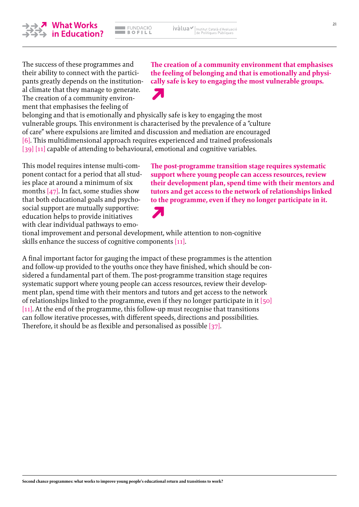**Second chance programmes: what works to improve young people's educational return and transitions to work?**

The success of these programmes and their ability to connect with the participants greatly depends on the institutional climate that they manage to generate. The creation of a community environment that emphasises the feeling of

belonging and that is emotionally and physically safe is key to engaging the most vulnerable groups. This environment is characterised by the prevalence of a "culture of care" where expulsions are limited and discussion and mediation are encouraged [\[6\]](#page-27-0). This multidimensional approach requires experienced and trained professionals [\[39\]](#page-28-0) [\[11\]](#page-27-0) capable of attending to behavioural, emotional and cognitive variables.

FUNDACIÓ

 $BOPILL$ 

This model requires intense multi-component contact for a period that all studies place at around a minimum of six months [\[47\].](#page-28-0) In fact, some studies show that both educational goals and psychosocial support are mutually supportive: education helps to provide initiatives with clear individual pathways to emo-

tional improvement and personal development, while attention to non-cognitive skills enhance the success of cognitive components [\[11\].](#page-27-0)

A final important factor for gauging the impact of these programmes is the attention and follow-up provided to the youths once they have finished, which should be considered a fundamental part of them. The post-programme transition stage requires systematic support where young people can access resources, review their development plan, spend time with their mentors and tutors and get access to the network of relationships linked to the programme, even if they no longer participate in it [\[50\]](#page-28-0) [\[11\].](#page-27-0) At the end of the programme, this follow-up must recognise that transitions can follow iterative processes, with different speeds, directions and possibilities. Therefore, it should be as flexible and personalised as possible [\[37\]](#page-28-0).

### **The creation of a community environment that emphasises the feeling of belonging and that is emotionally and physically safe is key to engaging the most vulnerable groups.**

**The post-programme transition stage requires systematic support where young people can access resources, review their development plan, spend time with their mentors and tutors and get access to the network of relationships linked** 



ivàlua√



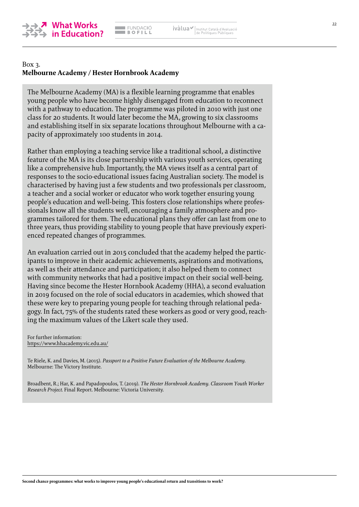<span id="page-21-0"></span>

### Box 3. **Melbourne Academy / Hester Hornbrook Academy**

The Melbourne Academy (MA) is a flexible learning programme that enables young people who have become highly disengaged from education to reconnect with a pathway to education. The programme was piloted in 2010 with just one class for 20 students. It would later become the MA, growing to six classrooms and establishing itself in six separate locations throughout Melbourne with a capacity of approximately 100 students in 2014.

Rather than employing a teaching service like a traditional school, a distinctive feature of the MA is its close partnership with various youth services, operating like a comprehensive hub. Importantly, the MA views itself as a central part of responses to the socio-educational issues facing Australian society. The model is characterised by having just a few students and two professionals per classroom, a teacher and a social worker or educator who work together ensuring young people's education and well-being. This fosters close relationships where professionals know all the students well, encouraging a family atmosphere and programmes tailored for them. The educational plans they offer can last from one to three years, thus providing stability to young people that have previously experienced repeated changes of programmes.

An evaluation carried out in 2015 concluded that the academy helped the participants to improve in their academic achievements, aspirations and motivations, as well as their attendance and participation; it also helped them to connect with community networks that had a positive impact on their social well-being. Having since become the Hester Hornbook Academy (HHA), a second evaluation in 2019 focused on the role of social educators in academies, which showed that these were key to preparing young people for teaching through relational pedagogy. In fact, 75% of the students rated these workers as good or very good, reaching the maximum values of the Likert scale they used.

For further information: [https://www.hhacademy.vic.edu.au/](https://www.hhacademy.vic.edu.au)

Te Riele, K. and Davies, M. (2015). *Passport to a Positive Future Evaluation of the Melbourne Academy.*  Melbourne: The Victory Institute.

Broadbent, R.; Har, K. and Papadopoulos, T. (2019). *The Hester Hornbrook Academy. Classroom Youth Worker Research Project.* Final Report. Melbourne: Victoria University.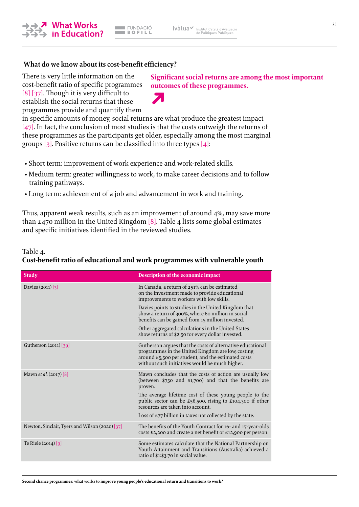

#### **What do we know about its cost-benefit efficiency?**

There is very little information on the cost-benefit ratio of specific programmes [\[8\]](#page-27-0) [\[37\]](#page-28-0). Though it is very difficult to establish the social returns that these programmes provide and quantify them

**Significant social returns are among the most important outcomes of these programmes.**

in specific amounts of money, social returns are what produce the greatest impact  $[47]$ . In fact, the conclusion of most studies is that the costs outweigh the returns of these programmes as the participants get older, especially among the most marginal groups  $\lceil 3 \rceil$ . Positive returns can be classified into three types  $\lceil 4 \rceil$ :

- Short term: improvement of work experience and work-related skills.
- Medium term: greater willingness to work, to make career decisions and to follow training pathways.
- Long term: achievement of a job and advancement in work and training.

Thus, apparent weak results, such as an improvement of around 4%, may save more than  $£470$  million in the United Kingdom [\[8\].](#page-27-0) Table 4 lists some global estimates and specific initiatives identified in the reviewed studies.

#### Table 4.

#### **Study Description of the economic impact** Davies (2011) [\[3\]](#page-27-0) **In Canada, a return of 251% can be estimated** on the investment made to provide educational improvements to workers with low skills. Davies points to studies in the United Kingdom that show a return of 300%, where 60 million in social benefits can be gained from 15 million invested. Other aggregated calculations in the United States show returns of \$2.50 for every dollar invested. Gutherson (2011) [\[39\]](#page-28-0) Gutherson argues that the costs of alternative educational programmes in the United Kingdom are low, costing around £5,500 per student, and the estimated costs without such initiatives would be much higher. Mawn *et al.* (2017) [\[8\]](#page-27-0) Mawn concludes that the costs of action are usually low (between \$750 and \$1,700) and that the benefits are proven. The average lifetime cost of these young people to the public sector can be £56,500, rising to £104,300 if other resources are taken into account. Loss of £77 billion in taxes not collected by the state. Newton, Sinclair, Tyers and Wilson (2020) [\[37\]](#page-28-0) The benefits of the Youth Contract for 16- and 17-year-olds costs £2,200 and create a net benefit of £12,900 per person. Te Riele (2014) [\[9\]](#page-27-0) Some estimates calculate that the National Partnership on Youth Attainment and Transitions (Australia) achieved a ratio of \$1:\$3.70 in social value.

### **Cost-benefit ratio of educational and work programmes with vulnerable youth**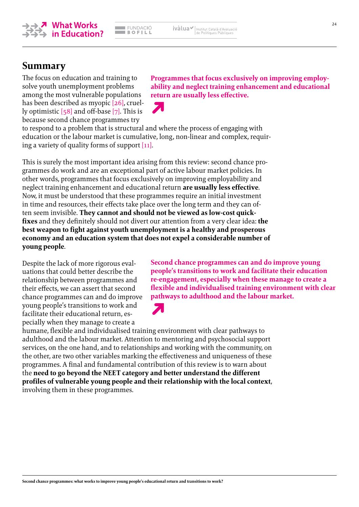**Programmes that focus exclusively on improving employability and neglect training enhancement and educational** 

**return are usually less effective.**

**Second chance programmes can and do improve young people's transitions to work and facilitate their education re-engagement, especially when these manage to create a flexible and individualised training environment with clear** 

**pathways to adulthood and the labour market.**

because second chance programmes try to respond to a problem that is structural and where the process of engaging with education or the labour market is cumulative, long, non-linear and complex, requiring a variety of quality forms of support [\[11\].](#page-27-0)

**FUNDACIÓ** 

 $BOPILL$ 

This is surely the most important idea arising from this review: second chance programmes do work and are an exceptional part of active labour market policies. In other words, programmes that focus exclusively on improving employability and neglect training enhancement and educational return **are usually less effective**. Now, it must be understood that these programmes require an initial investment in time and resources, their effects take place over the long term and they can often seem invisible. **They cannot and should not be viewed as low-cost quickfixes** and they definitely should not divert our attention from a very clear idea: **the best weapon to fight against youth unemployment is a healthy and prosperous economy and an education system that does not expel a considerable number of young people**.

Despite the lack of more rigorous evaluations that could better describe the relationship between programmes and their effects, we can assert that second chance programmes can and do improve young people's transitions to work and facilitate their educational return, especially when they manage to create a

humane, flexible and individualised training environment with clear pathways to adulthood and the labour market. Attention to mentoring and psychosocial support services, on the one hand, and to relationships and working with the community, on the other, are two other variables marking the effectiveness and uniqueness of these programmes. A final and fundamental contribution of this review is to warn about the **need to go beyond the NEET category and better understand the different profiles of vulnerable young people and their relationship with the local context**, involving them in these programmes.



The focus on education and training to solve youth unemployment problems among the most vulnerable populations has been described as myopic [\[26\]](#page-28-0), cruelly optimistic [\[58\]](#page-29-0) and off-base [\[7\].](#page-27-0) This is

**Summary**



ivàlua√

|<br>| Institut Català d'Avaluació<br>| de Polítiques Públiques

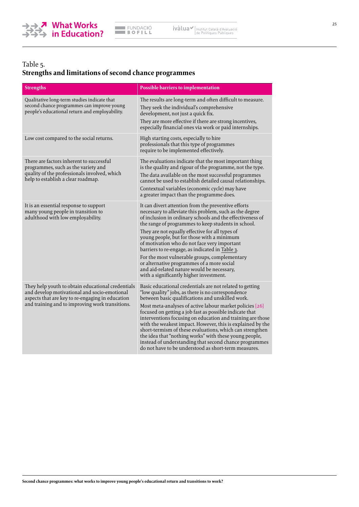

## Table 5.

### **Strengths and limitations of second chance programmes**

| <b>Strengths</b>                                                                                                                                                                                         | <b>Possible barriers to implementation</b>                                                                                                                                                                                                                                                                                                                                                                                                                                                                                                                                                                                                                   |
|----------------------------------------------------------------------------------------------------------------------------------------------------------------------------------------------------------|--------------------------------------------------------------------------------------------------------------------------------------------------------------------------------------------------------------------------------------------------------------------------------------------------------------------------------------------------------------------------------------------------------------------------------------------------------------------------------------------------------------------------------------------------------------------------------------------------------------------------------------------------------------|
| Qualitative long-term studies indicate that<br>second chance programmes can improve young<br>people's educational return and employability.                                                              | The results are long-term and often difficult to measure.<br>They seek the individual's comprehensive<br>development, not just a quick fix.<br>They are more effective if there are strong incentives,<br>especially financial ones via work or paid internships.                                                                                                                                                                                                                                                                                                                                                                                            |
| Low cost compared to the social returns.                                                                                                                                                                 | High starting costs, especially to hire<br>professionals that this type of programmes<br>require to be implemented effectively.                                                                                                                                                                                                                                                                                                                                                                                                                                                                                                                              |
| There are factors inherent to successful<br>programmes, such as the variety and<br>quality of the professionals involved, which<br>help to establish a clear roadmap.                                    | The evaluations indicate that the most important thing<br>is the quality and rigour of the programme, not the type.<br>The data available on the most successful programmes<br>cannot be used to establish detailed causal relationships.<br>Contextual variables (economic cycle) may have<br>a greater impact than the programme does.                                                                                                                                                                                                                                                                                                                     |
| It is an essential response to support<br>many young people in transition to<br>adulthood with low employability.                                                                                        | It can divert attention from the preventive efforts<br>necessary to alleviate this problem, such as the degree<br>of inclusion in ordinary schools and the effectiveness of<br>the range of programmes to keep students in school.<br>They are not equally effective for all types of<br>young people, but for those with a minimum<br>of motivation who do not face very important<br>barriers to re-engage, as indicated in Table 3.<br>For the most vulnerable groups, complementary<br>or alternative programmes of a more social<br>and aid-related nature would be necessary,<br>with a significantly higher investment.                               |
| They help youth to obtain educational credentials<br>and develop motivational and socio-emotional<br>aspects that are key to re-engaging in education<br>and training and to improving work transitions. | Basic educational credentials are not related to getting<br>"low quality" jobs, as there is no correspondence<br>between basic qualifications and unskilled work.<br>Most meta-analyses of active labour market policies [26]<br>focused on getting a job fast as possible indicate that<br>interventions focusing on education and training are those<br>with the weakest impact. However, this is explained by the<br>short-termism of these evaluations, which can strengthen<br>the idea that "nothing works" with these young people,<br>instead of understanding that second chance programmes<br>do not have to be understood as short-term measures. |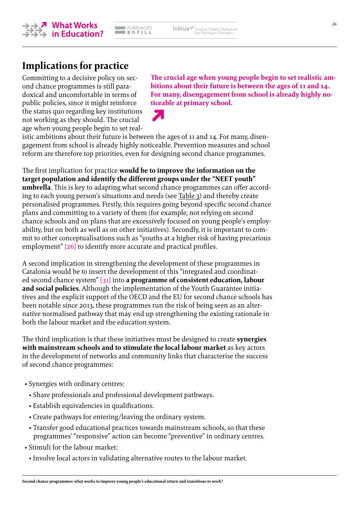

# **Implications for practice**

Committing to a decisive policy on second chance programmes is still paradoxical and uncomfortable in terms of public policies, since it might reinforce the status quo regarding key institutions not working as they should. The crucial age when young people begin to set real**The crucial age when young people begin to set realistic ambitions about their future is between the ages of 11 and 14. For many, disengagement from school is already highly noticeable at primary school.**



istic ambitions about their future is between the ages of 11 and 14. For many, disengagement from school is already highly noticeable. Prevention measures and school reform are therefore top priorities, even for designing second chance programmes.

The first implication for practice **would be to improve the information on the target population and identify the different groups under the "NEET youth" umbrella**. This is key to adapting what second chance programmes can offer according to each young person's situations and needs (see [Table](#page-21-0) 3) and thereby create personalised programmes. Firstly, this requires going beyond specific second chance plans and committing to a variety of them (for example, not relying on second chance schools and on plans that are excessively focused on young people's employability, but on both as well as on other initiatives). Secondly, it is important to commit to other conceptualisations such as "youths at a higher risk of having precarious employment" [\[26\]](#page-28-0) to identify more accurate and practical profiles.

A second implication in strengthening the development of these programmes in Catalonia would be to insert the development of this "integrated and coordinated second chance system" [\[31\]](#page-28-0) into **a programme of consistent education, labour and social policies**. Although the implementation of the Youth Guarantee initiatives and the explicit support of the OECD and the EU for second chance schools has been notable since 2013, these programmes run the risk of being seen as an alternative normalised pathway that may end up strengthening the existing rationale in both the labour market and the education system.

The third implication is that these initiatives must be designed to create **synergies with mainstream schools and to stimulate the local labour market** as key actors in the development of networks and community links that characterise the success of second chance programmes:

- Synergies with ordinary centres:
	- Share professionals and professional development pathways.
	- Establish equivalencies in qualifications.
	- Create pathways for entering/leaving the ordinary system.
	- Transfer good educational practices towards mainstream schools, so that these programmes' "responsive" action can become "preventive" in ordinary centres.
- Stimuli for the labour market:
	- Involve local actors in validating alternative routes to the labour market.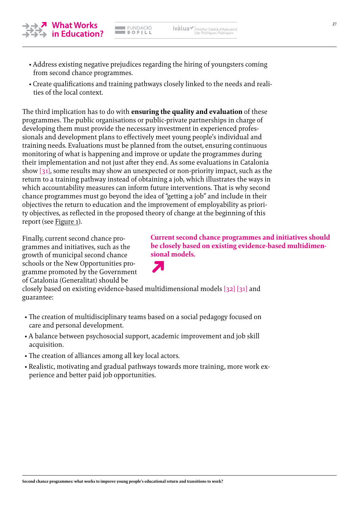• Address existing negative prejudices regarding the hiring of youngsters coming from second chance programmes.

ivàlua√

Institut Català d'Avaluació<br>de Polítiques Públiques

EUNDACIÓ<br>Bofill

• Create qualifications and training pathways closely linked to the needs and realities of the local context.

The third implication has to do with **ensuring the quality and evaluation** of these programmes. The public organisations or public-private partnerships in charge of developing them must provide the necessary investment in experienced professionals and development plans to effectively meet young people's individual and training needs. Evaluations must be planned from the outset, ensuring continuous monitoring of what is happening and improve or update the programmes during their implementation and not just after they end. As some evaluations in Catalonia show [\[31\]](#page-28-0), some results may show an unexpected or non-priority impact, such as the return to a training pathway instead of obtaining a job, which illustrates the ways in which accountability measures can inform future interventions. That is why second chance programmes must go beyond the idea of "getting a job" and include in their objectives the return to education and the improvement of employability as priority objectives, as reflected in the proposed theory of change at the beginning of this report (see [Figure 1](#page-5-0)).

Finally, current second chance programmes and initiatives, such as the growth of municipal second chance schools or the New Opportunities programme promoted by the Government of Catalonia (Generalitat) should be

closely based on existing evidence-based multidimensional models [\[32\]](#page-28-0) [\[31\]](#page-28-0) and guarantee:

- The creation of multidisciplinary teams based on a social pedagogy focused on care and personal development.
- A balance between psychosocial support, academic improvement and job skill acquisition.
- The creation of alliances among all key local actors.
- Realistic, motivating and gradual pathways towards more training, more work experience and better paid job opportunities.



**sional models.**



**Current second chance programmes and initiatives should be closely based on existing evidence-based multidimen-**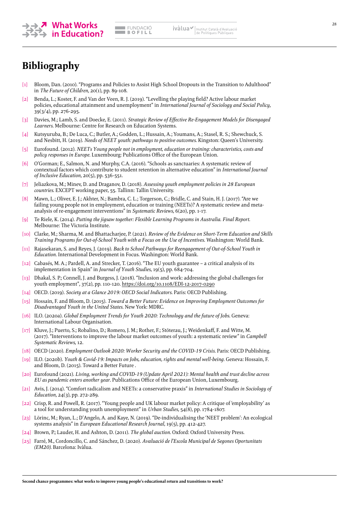<span id="page-27-0"></span>

# **Bibliography**

- [1] Bloom, Dan. (2010). "Programs and Policies to Assist High School Dropouts in the Transition to Adulthood" in *The Future of Children*, 20(1), pp. 89-108.
- [2] Benda, L.; Koster, F. and Van der Veen, R. J. (2019). "Levelling the playing field? Active labour market policies, educational attainment and unemployment" in *International Journal of Sociology and Social Policy*, 39(3/4), pp. 276-295.
- [3] Davies, M.; Lamb, S. and Doecke, E. (2011). *Strategic Review of Effective Re-Engagement Models for Disengaged Learners*. Melbourne: Centre for Research on Education Systems.
- [4] Kutsyuruba, B.; De Luca, C.; Butler, A.; Godden, L.; Hussain, A.; Youmans, A.; Stasel, R. S.; Shewchuck, S. and Nesbitt, H. (2019). *Needs of NEET youth: pathways to positive outcomes*. Kingston: Queen's University.
- [5] Eurofound. (2012). *NEETs Young people not in employment, education or training: characteristics, costs and policy responses in Europe*. Luxembourg: Publications Office of the European Union.
- [6] O'Gorman; E., Salmon, N. and Murphy, C.A. (2016). "Schools as sanctuaries: A systematic review of contextual factors which contribute to student retention in alternative education" in *International Journal of Inclusive Education*, 20(5), pp. 536-551.
- [7] Jeliazkova, M.; Minev, D. and Draganov, D. (2018). *Assessing youth employment policies in 28 European countries*. EXCEPT working paper, 55. Tallinn: Tallin University.
- Mawn, L.; Oliver, E. J.; Akhter, N.; Bambra, C. L.; Torgerson, C.; Bridle, C. and Stain, H. J. (2017). "Are we failing young people not in employment, education or training (NEETs)? A systematic review and metaanalysis of re-engagement interventions" in *Systematic Reviews*, 6(20), pp. 1-17.
- [9] Te Riele, K. (2014). *Putting the jigsaw together: Flexible Learning Programs in Australia. Final Report*. Melbourne: The Victoria Institute.
- [10] Clarke, M.; Sharma, M. and Bhattacharjee, P. (2021). *Review of the Evidence on Short-Term Education and Skills Training Programs for Out-of-School Youth with a Focus on the Use of Incentives*. Washington: World Bank.
- [11] Rajasekaran, S. and Reyes, J. (2019). *Back to School Pathways for Reengagement of Out-of-School Youth in Education*. International Development in Focus. Washington: World Bank.
- [12] Cabasés, M. A.; Pardell, A. and Strecker, T. (2016). "The EU youth guarantee a critical analysis of its implementation in Spain" in *Journal of Youth Studies*, 19(5), pp. 684-704.
- [13] Dhakal, S. P.; Connell, J. and Burgess, J. (2018). "Inclusion and work: addressing the global challenges for youth employment", 37(2), pp. 110-120.<https://doi.org/10.1108/EDI-12-2017-0290>
- [14] OECD. (2019). *Society at a Glance 2019: OECD Social Indicators*. Paris: OECD Publishing.
- [15] Hossain, F. and Bloom, D. (2015). *Toward a Better Future: Evidence on Improving Employment Outcomes for Disadvantaged Youth in the United States*. New York: MDRC.
- [16] ILO. (2020a). *Global Employment Trends for Youth 2020: Technology and the future of Jobs*. Geneva: International Labour Organisation.
- [17] Kluve, J.; Puerto, S.; Robalino, D.; Romero, J. M.; Rother, F.; Stöterau, J.; Weidenkaff, F. and Witte, M. (2017). "Interventions to improve the labour market outcomes of youth: a systematic review" in *Campbell Systematic Reviews*, 12.
- [18] OECD (2020). *Employment Outlook 2020: Worker Security and the COVID-19 Crisis*. Paris: OECD Publishing.
- [19] ILO. (2020b). *Youth & Covid-19: Impacts on Jobs, education, rights and mental well-being*. Geneva: Hossain, F. and Bloom, D. (2015). Toward a Better Future .
- [20] Eurofound (2021). *Living, working and COVID-19 (Update April 2021): Mental health and trust decline across EU as pandemic enters another year*. Publications Office of the European Union, Luxembourg.
- [21] Avis, J. (2014). "Comfort radicalism and NEETs: a conservative praxis" in *International Studies in Sociology of Education*, 24(3), pp. 272-289.
- [22] Crisp, R. and Powell, R. (2017). "Young people and UK labour market policy: A critique of 'employability' as a tool for understanding youth unemployment" in *Urban Studies*, 54(8), pp. 1784-1807.
- [23] Lörinc, M.; Ryan, L.; D'Angelo, A. and Kaye, N. (2019). "De-individualising the 'NEET problem': An ecological systems analysis" in *European Educational Research Journal*, 19(5), pp. 412-427.
- [24] Brown, P.; Lauder, H. and Ashton, D. (2011). *The global auction*. Oxford: Oxford University Press.
- [25] Farré, M., Cordoncillo, C. and Sánchez, D. (2020). *Avaluació de l'Escola Municipal de Segones Oportunitats (EM20)*. Barcelona: Ivàlua.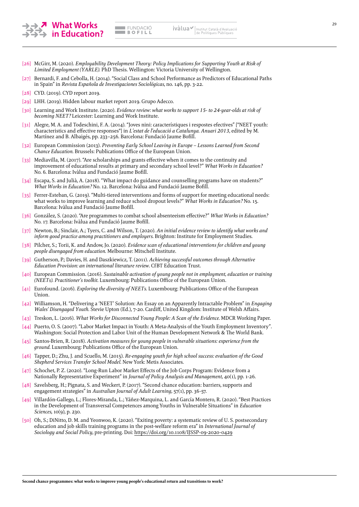<span id="page-28-0"></span>

- [26] McGirr, M. (2020). *Employability Development Theory: Policy Implications for Supporting Youth at Risk of Limited Employment (YARLE).* PhD Thesis. Wellington: Victoria University of Wellington.
- [27] Bernardi, F. and Cebolla, H. (2014). "Social Class and School Performance as Predictors of Educational Paths in Spain" in *Revista Española de Investigaciones Sociológicas*, no. 146, pp. 3-22.
- [28] CYD. (2019). CYD report 2019.
- [29] LHH. (2019). Hidden labour market report 2019. Grupo Adecco.
- [30] Learning and Work Institute. (2020). *Evidence review: what works to support 15- to 24-year-olds at risk of becoming NEET?* Leicester: Learning and Work Institute.
- [31] Alegre, M. A. and Todeschini, F. A. (2014). "Joves nini: característiques i respostes efectives" ["NEET youth: characteristics and effective responses"] in *L'estat de l'educació a Catalunya. Anuari 2013*, edited by M. Martínez and B. Albaigés, pp. 233–256. Barcelona: Fundació Jaume Bofill.
- [32] European Commission (2013). *Preventing Early School Leaving in Europe Lessons Learned from Second Chance Education*. Brussels: Publications Office of the European Union.
- [33] Mediavilla, M. (2017). "Are scholarships and grants effective when it comes to the continuity and improvement of educational results at primary and secondary school level?" *What Works in Education?* No. 6. Barcelona: Ivàlua and Fundació Jaume Bofill.
- [34] Escapa, S. and Julià, A. (2018). "What impact do guidance and counselling programs have on students?" *What Works in Education?* No. 12. Barcelona: Ivàlua and Fundació Jaume Bofill.
- [35] Ferrer-Esteban, G. (2019). "Multi-tiered interventions and forms of support for meeting educational needs: what works to improve learning and reduce school dropout levels?" *What Works in Education?* No. 15. Barcelona: Ivàlua and Fundació Jaume Bofill.
- [36] González, S. (2020). "Are programmes to combat school absenteeism effective?" *What Works in Education?* No. 17. Barcelona: Ivàlua and Fundació Jaume Bofill.
- [37] Newton, B.; Sinclair, A.; Tyers, C. and Wilson, T. (2020). *An initial evidence review to identify what works and inform good practice among practitioners and employers*. Brighton: Institute for Employment Studies.
- [38] Pilcher, S.; Torii, K. and Andow, Jo. (2020). *Evidence scan of educational interventions for children and young people disengaged from education*. Melbourne: Mitschell Institute.
- [39] Gutherson, P.; Davies, H. and Daszkiewicz, T. (2011). *Achieving successful outcomes through Alternative Education Provision: an international literature review*. CfBT Education Trust.
- [40] European Commission. (2016). *Sustainable activation of young people not in employment, education or training (NEETs). Practitioner's toolkit*. Luxembourg: Publications Office of the European Union.
- [41] Eurofound. (2016). *Exploring the diversity of NEETs.* Luxembourg: Publications Office of the European Union.
- [42] Williamson, H. "Delivering a 'NEET' Solution: An Essay on an Apparently Intractable Problem" in *Engaging Wales' Disengaged Youth*. Stevie Upton (Ed.), 7-20. Cardiff, United Kingdom: Institute of Welsh Affairs.
- [43] Treskon, L. (2016). *What Works for Disconnected Young People: A Scan of the Evidence*. MDCR Working Paper.
- [44] Puerto, O. S. (2007). "Labor Market Impact in Youth: A Meta-Analysis of the Youth Employment Inventory". Washington: Social Protection and Labor Unit of the Human Development Network & The World Bank.
- [45] Santos-Brien, R. (2018). *Activation measures for young people in vulnerable situations: experience from the ground*. Luxembourg: Publications Office of the European Union.
- [46] Tapper, D.; Zhu, J. and Scuello, M. (2015). *Re-engaging youth for high school success: evaluation of the Good Shepherd Services Transfer School Model*. New York: Metis Associates.
- [47] Schochet, P. Z. (2020). "Long-Run Labor Market Effects of the Job Corps Program: Evidence from a Nationally Representative Experiment" in *Journal of Policy Analysis and Management*, 40(1), pp. 1-26.
- [48] Savelsberg, H.; Pignata, S. and Weckert, P. (2017). "Second chance education: barriers, supports and engagement strategies" in *Australian Journal of Adult Learning*, 57(1), pp. 36-57.
- [49] Villardón-Gallego, L.; Flores-Miranda, L.; Yáñez-Marquina, L. and García Montero, R. (2020). "Best Practices in the Development of Transversal Competences among Youths in Vulnerable Situations" in *Education Sciences*, 10(9), p. 230.
- [50] Oh, S.; DiNitto, D. M. and Yeonwoo, K. (2020). "Exiting poverty: a systematic review of U. S. postsecondary education and job skills training programs in the post-welfare reform era" in *International Journal of Sociology and Social Policy*, pre-printing. Doi: <https://doi.org/10.1108/IJSSP-09-2020-0429>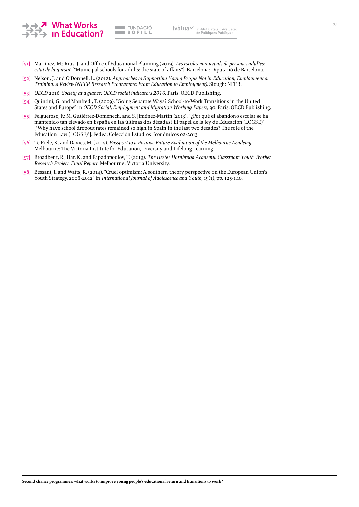<span id="page-29-0"></span>

**EMPACIÓ**  $\blacksquare$  BOFILL

- [51] Martínez, M.; Rius, J. and Office of Educational Planning (2019). *Les escoles municipals de persones adultes: estat de la qüestió* ["Municipal schools for adults: the state of affairs"]. Barcelona: Diputació de Barcelona.
- [52] Nelson, J. and O'Donnell, L. (2012). *Approaches to Supporting Young People Not in Education, Employment or Training: a Review (NFER Research Programme: From Education to Employment)*. Slough: NFER.
- [53] *OECD* 2016. *Society at a glance: OECD social indicators 2016*. Paris: OECD Publishing.
- [54] Quintini, G. and Manfredi, T. (2009). "Going Separate Ways? School-to-Work Transitions in the United States and Europe" in *OECD Social, Employment and Migration Working Papers*, 90. Paris: OECD Publishing.
- [55] Felgueroso, F.; M. Gutiérrez-Doménech, and S. Jiménez-Martín (2013). "¿Por qué el abandono escolar se ha mantenido tan elevado en España en las últimas dos décadas? El papel de la ley de Educación (LOGSE)" ["Why have school dropout rates remained so high in Spain in the last two decades? The role of the Education Law (LOGSE)"]. Fedea: Colección Estudios Económicos 02-2013.
- [56] Te Riele, K. and Davies, M. (2015). *Passport to a Positive Future Evaluation of the Melbourne Academy*. Melbourne: The Victoria Institute for Education, Diversity and Lifelong Learning.
- [57] Broadbent, R.; Har, K. and Papadopoulos, T. (2019). *The Hester Hornbrook Academy. Classroom Youth Worker Research Project. Final Report*. Melbourne: Victoria University.
- [58] Bessant, J. and Watts, R. (2014). "Cruel optimism: A southern theory perspective on the European Union's Youth Strategy, 2008-2012" in *International Journal of Adolescence and Youth*, 19(1), pp. 125-140.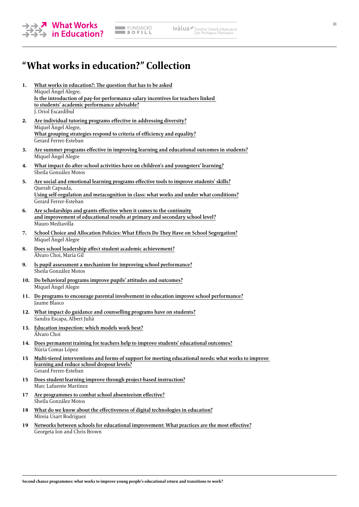

# **"What works in education?" Collection**

- **1. [What works in education?: The question that has to be asked](https://fundaciobofill.cat/publicacions/what-works-education)** Miquel Àngel Alegre, **[Is the introduction of pay-for-performance salary incentives for teachers linked](https://fundaciobofill.cat/publicacions/what-works-education?lg=es)  [to students' academic performance advisable?](https://fundaciobofill.cat/publicacions/what-works-education?lg=es)** J. Oriol Escardíbul
- **2. [Are individual tutoring programs effective in addressing diversity?](https://fundaciobofill.cat/publicacions/what-works-education-0)** Miquel Àngel Alegre, **[What grouping strategies respond to criteria of efficiency and equality?](https://fundaciobofill.cat/publicacions/what-works-education-0?lg=es)** Gerard Ferrer-Esteban
- **3. [Are summer programs effective in improving learning and educational outcomes in students?](https://fundaciobofill.cat/publicacions/are-summer-programs-effective-improving-learning-and-educational-outcomes-students)** Miquel Àngel Alegre
- **4. [What impact do after-school activities have on children's and youngsters' learning?](https://fundaciobofill.cat/publicacions/what-impact-do-after-school-activities-have-childrens-and-youngsters-learning?lg=es)** Sheila González Motos
- **5. [Are social and emotional learning programs effective tools to improve students' skills?](https://fundaciobofill.cat/publicacions/are-social-and-emotional-learning-programs-effective-tools-improve-students-skills)** Queralt Capsada, **[Using self-regulation and metacognition in class: what works and under what conditions?](https://fundaciobofill.cat/publicacions/are-social-and-emotional-learning-programs-effective-tools-improve-students-skills?lg=es)** Gerard Ferrer-Esteban
- **6. [Are scholarships and grants effective when it comes to the continuity](https://fundaciobofill.cat/publicacions/are-scholarships-and-grants-effective-when-it-comes-continuity-and-improvement?lg=es)  [and improvement of educational results at primary and secondary school level?](https://fundaciobofill.cat/publicacions/are-scholarships-and-grants-effective-when-it-comes-continuity-and-improvement?lg=es)** Mauro Mediavilla
- **7. [School Choice and Allocation Policies: What Effects Do They Have on School Segregation?](https://fundaciobofill.cat/publicacions/school-choice-and-allocation-policies-what-effects-do-they-have-school-segregation?lg=es)** Miquel Àngel Alegre
- **8. [Does school leadership affect student academic achievement?](https://fundaciobofill.cat/publicacions/does-school-leadership-affect-student-academic-achievement?lg=es)** Álvaro Choi, María Gil
- **9. [Is pupil assessment a mechanism for improving school performance?](https://fundaciobofill.cat/publicacions/education-inspection-which-models-work-best)** Sheila González Motos
- **10. [Do behavioral programs improve pupils' attitudes and outcomes?](https://fundaciobofill.cat/publicacions/do-behavioral-programs-improve-pupils-attitudes-and-outcomes?lg=es)** Miquel Àngel Alegre
- **11. [Do programs to encourage parental involvement in education improve school performance?](https://fundaciobofill.cat/publicacions/do-programs-encourage-parental-involvement-education-improve-school-performance?lg=es)** Jaume Blasco
- **12. [What impact do guidance and counselling programs have on students?](https://fundaciobofill.cat/publicacions/what-impact-do-guidance-and-counselling-programs-have-students?lg=en)** Sandra Escapa, Albert Julià
- **13. [Education inspection: which models work best?](https://fundaciobofill.cat/publicacions/education-inspection-which-models-work-best)** Álvaro Choi
- **14. [Does permanent training for teachers help to improve students' educational outcomes?](https://fundaciobofill.cat/publicacions/does-permanent-training-teachers-help-improve-students-educational-outcomes)** Núria Comas López
- **15 [Multi-tiered interventions and forms of support for meeting educational needs: what works to improve](https://fundaciobofill.cat/publicacions/multi-tiered-interventions-and-forms-support-meeting-educational-needs-what-works?lg=en)  [learning and reduce school dropout levels?](https://fundaciobofill.cat/publicacions/multi-tiered-interventions-and-forms-support-meeting-educational-needs-what-works?lg=en)** Gerard Ferrer-Esteban
- **15 [Does student learning improve through project-based instruction?](https://fundaciobofill.cat/publicacions/multi-tiered-interventions-and-forms-support-meeting-educational-needs-what-works?lg=en)** Marc Lafuente Martínez
- **17 [Are programmes to combat school absenteeism effective?](https://fundaciobofill.cat/publicacions/are-programmes-combat-school-absenteeism-effective)** Sheila González Motos
- **18 [What do we know about the effectiveness of digital technologies in education?](https://fundaciobofill.cat/publicacions/what-do-we-know-about-the-effectiveness-of-digital-technologies-in-education)** Mireia Usart Rodríguez
- **19 [Networks between schools for educational improvement: What practices are the most effective?](https://fundaciobofill.cat/publicacions/networks)** Georgeta Ion and Chris Brown